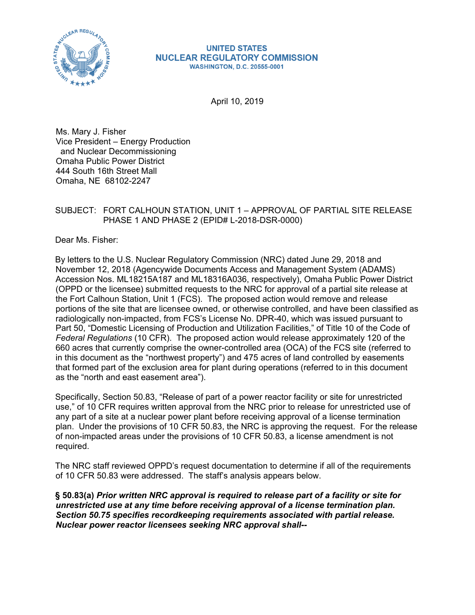

#### **UNITED STATES NUCLEAR REGULATORY COMMISSION WASHINGTON, D.C. 20555-0001**

April 10, 2019

Ms. Mary J. Fisher Vice President – Energy Production and Nuclear Decommissioning Omaha Public Power District 444 South 16th Street Mall Omaha, NE 68102-2247

#### SUBJECT: FORT CALHOUN STATION, UNIT 1 – APPROVAL OF PARTIAL SITE RELEASE PHASE 1 AND PHASE 2 (EPID# L-2018-DSR-0000)

Dear Ms. Fisher:

By letters to the U.S. Nuclear Regulatory Commission (NRC) dated June 29, 2018 and November 12, 2018 (Agencywide Documents Access and Management System (ADAMS) Accession Nos. ML18215A187 and ML18316A036, respectively), Omaha Public Power District (OPPD or the licensee) submitted requests to the NRC for approval of a partial site release at the Fort Calhoun Station, Unit 1 (FCS). The proposed action would remove and release portions of the site that are licensee owned, or otherwise controlled, and have been classified as radiologically non-impacted, from FCS's License No. DPR-40, which was issued pursuant to Part 50, "Domestic Licensing of Production and Utilization Facilities," of Title 10 of the Code of *Federal Regulations* (10 CFR). The proposed action would release approximately 120 of the 660 acres that currently comprise the owner-controlled area (OCA) of the FCS site (referred to in this document as the "northwest property") and 475 acres of land controlled by easements that formed part of the exclusion area for plant during operations (referred to in this document as the "north and east easement area").

Specifically, Section 50.83, "Release of part of a power reactor facility or site for unrestricted use," of 10 CFR requires written approval from the NRC prior to release for unrestricted use of any part of a site at a nuclear power plant before receiving approval of a license termination plan. Under the provisions of 10 CFR 50.83, the NRC is approving the request. For the release of non-impacted areas under the provisions of 10 CFR 50.83, a license amendment is not required.

The NRC staff reviewed OPPD's request documentation to determine if all of the requirements of 10 CFR 50.83 were addressed. The staff's analysis appears below.

**§ 50.83(a)** *Prior written NRC approval is required to release part of a facility or site for unrestricted use at any time before receiving approval of a license termination plan. Section 50.75 specifies recordkeeping requirements associated with partial release. Nuclear power reactor licensees seeking NRC approval shall--*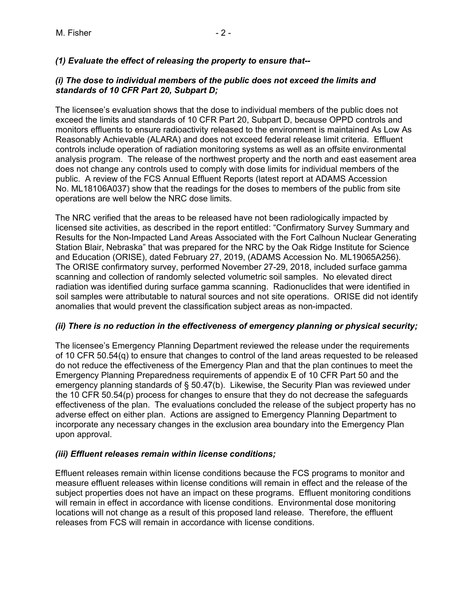# *(1) Evaluate the effect of releasing the property to ensure that--*

#### *(i) The dose to individual members of the public does not exceed the limits and standards of 10 CFR Part 20, Subpart D;*

The licensee's evaluation shows that the dose to individual members of the public does not exceed the limits and standards of 10 CFR Part 20, Subpart D, because OPPD controls and monitors effluents to ensure radioactivity released to the environment is maintained As Low As Reasonably Achievable (ALARA) and does not exceed federal release limit criteria. Effluent controls include operation of radiation monitoring systems as well as an offsite environmental analysis program. The release of the northwest property and the north and east easement area does not change any controls used to comply with dose limits for individual members of the public. A review of the FCS Annual Effluent Reports (latest report at ADAMS Accession No. ML18106A037) show that the readings for the doses to members of the public from site operations are well below the NRC dose limits.

The NRC verified that the areas to be released have not been radiologically impacted by licensed site activities, as described in the report entitled: "Confirmatory Survey Summary and Results for the Non-Impacted Land Areas Associated with the Fort Calhoun Nuclear Generating Station Blair, Nebraska" that was prepared for the NRC by the Oak Ridge Institute for Science and Education (ORISE), dated February 27, 2019, (ADAMS Accession No. ML19065A256). The ORISE confirmatory survey, performed November 27-29, 2018, included surface gamma scanning and collection of randomly selected volumetric soil samples. No elevated direct radiation was identified during surface gamma scanning. Radionuclides that were identified in soil samples were attributable to natural sources and not site operations. ORISE did not identify anomalies that would prevent the classification subject areas as non-impacted.

## *(ii) There is no reduction in the effectiveness of emergency planning or physical security;*

The licensee's Emergency Planning Department reviewed the release under the requirements of 10 CFR 50.54(q) to ensure that changes to control of the land areas requested to be released do not reduce the effectiveness of the Emergency Plan and that the plan continues to meet the Emergency Planning Preparedness requirements of appendix E of 10 CFR Part 50 and the emergency planning standards of § 50.47(b). Likewise, the Security Plan was reviewed under the 10 CFR 50.54(p) process for changes to ensure that they do not decrease the safeguards effectiveness of the plan. The evaluations concluded the release of the subject property has no adverse effect on either plan. Actions are assigned to Emergency Planning Department to incorporate any necessary changes in the exclusion area boundary into the Emergency Plan upon approval.

## *(iii) Effluent releases remain within license conditions;*

Effluent releases remain within license conditions because the FCS programs to monitor and measure effluent releases within license conditions will remain in effect and the release of the subject properties does not have an impact on these programs. Effluent monitoring conditions will remain in effect in accordance with license conditions. Environmental dose monitoring locations will not change as a result of this proposed land release. Therefore, the effluent releases from FCS will remain in accordance with license conditions.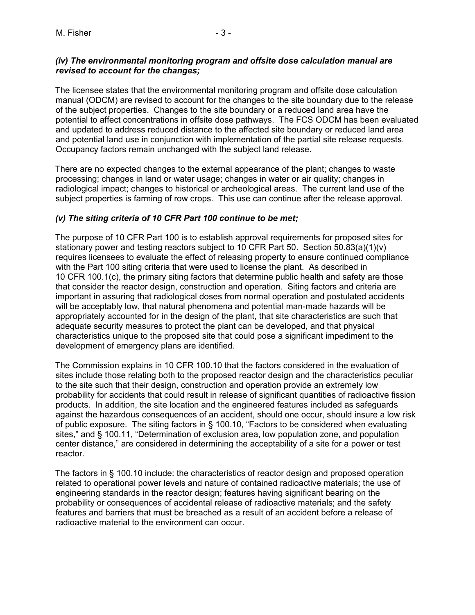# *(iv) The environmental monitoring program and offsite dose calculation manual are revised to account for the changes;*

The licensee states that the environmental monitoring program and offsite dose calculation manual (ODCM) are revised to account for the changes to the site boundary due to the release of the subject properties. Changes to the site boundary or a reduced land area have the potential to affect concentrations in offsite dose pathways. The FCS ODCM has been evaluated and updated to address reduced distance to the affected site boundary or reduced land area and potential land use in conjunction with implementation of the partial site release requests. Occupancy factors remain unchanged with the subject land release.

There are no expected changes to the external appearance of the plant; changes to waste processing; changes in land or water usage; changes in water or air quality; changes in radiological impact; changes to historical or archeological areas. The current land use of the subject properties is farming of row crops. This use can continue after the release approval.

# *(v) The siting criteria of 10 CFR Part 100 continue to be met;*

The purpose of 10 CFR Part 100 is to establish approval requirements for proposed sites for stationary power and testing reactors subject to 10 CFR Part 50. Section 50.83(a)(1)(v) requires licensees to evaluate the effect of releasing property to ensure continued compliance with the Part 100 siting criteria that were used to license the plant. As described in 10 CFR 100.1(c), the primary siting factors that determine public health and safety are those that consider the reactor design, construction and operation. Siting factors and criteria are important in assuring that radiological doses from normal operation and postulated accidents will be acceptably low, that natural phenomena and potential man-made hazards will be appropriately accounted for in the design of the plant, that site characteristics are such that adequate security measures to protect the plant can be developed, and that physical characteristics unique to the proposed site that could pose a significant impediment to the development of emergency plans are identified.

The Commission explains in 10 CFR 100.10 that the factors considered in the evaluation of sites include those relating both to the proposed reactor design and the characteristics peculiar to the site such that their design, construction and operation provide an extremely low probability for accidents that could result in release of significant quantities of radioactive fission products. In addition, the site location and the engineered features included as safeguards against the hazardous consequences of an accident, should one occur, should insure a low risk of public exposure. The siting factors in § 100.10, "Factors to be considered when evaluating sites," and § 100.11, "Determination of exclusion area, low population zone, and population center distance," are considered in determining the acceptability of a site for a power or test reactor.

The factors in § 100.10 include: the characteristics of reactor design and proposed operation related to operational power levels and nature of contained radioactive materials; the use of engineering standards in the reactor design; features having significant bearing on the probability or consequences of accidental release of radioactive materials; and the safety features and barriers that must be breached as a result of an accident before a release of radioactive material to the environment can occur.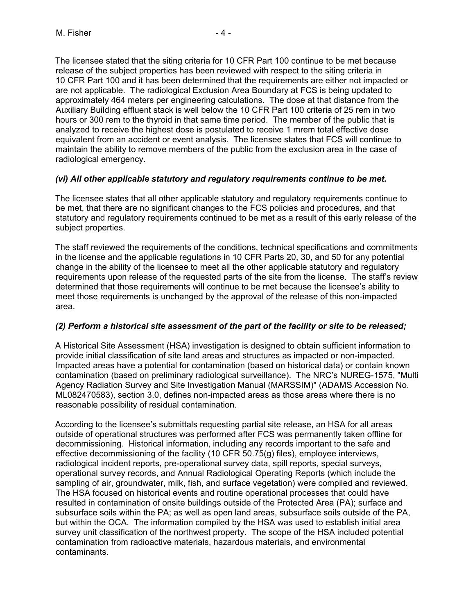The licensee stated that the siting criteria for 10 CFR Part 100 continue to be met because release of the subject properties has been reviewed with respect to the siting criteria in 10 CFR Part 100 and it has been determined that the requirements are either not impacted or are not applicable. The radiological Exclusion Area Boundary at FCS is being updated to approximately 464 meters per engineering calculations. The dose at that distance from the Auxiliary Building effluent stack is well below the 10 CFR Part 100 criteria of 25 rem in two hours or 300 rem to the thyroid in that same time period. The member of the public that is analyzed to receive the highest dose is postulated to receive 1 mrem total effective dose equivalent from an accident or event analysis. The licensee states that FCS will continue to maintain the ability to remove members of the public from the exclusion area in the case of radiological emergency.

## *(vi) All other applicable statutory and regulatory requirements continue to be met.*

The licensee states that all other applicable statutory and regulatory requirements continue to be met, that there are no significant changes to the FCS policies and procedures, and that statutory and regulatory requirements continued to be met as a result of this early release of the subject properties.

The staff reviewed the requirements of the conditions, technical specifications and commitments in the license and the applicable regulations in 10 CFR Parts 20, 30, and 50 for any potential change in the ability of the licensee to meet all the other applicable statutory and regulatory requirements upon release of the requested parts of the site from the license. The staff's review determined that those requirements will continue to be met because the licensee's ability to meet those requirements is unchanged by the approval of the release of this non-impacted area.

## *(2) Perform a historical site assessment of the part of the facility or site to be released;*

A Historical Site Assessment (HSA) investigation is designed to obtain sufficient information to provide initial classification of site land areas and structures as impacted or non-impacted. Impacted areas have a potential for contamination (based on historical data) or contain known contamination (based on preliminary radiological surveillance). The NRC's NUREG-1575, "Multi Agency Radiation Survey and Site Investigation Manual (MARSSIM)" (ADAMS Accession No. ML082470583), section 3.0, defines non-impacted areas as those areas where there is no reasonable possibility of residual contamination.

According to the licensee's submittals requesting partial site release, an HSA for all areas outside of operational structures was performed after FCS was permanently taken offline for decommissioning. Historical information, including any records important to the safe and effective decommissioning of the facility (10 CFR 50.75(g) files), employee interviews, radiological incident reports, pre-operational survey data, spill reports, special surveys, operational survey records, and Annual Radiological Operating Reports (which include the sampling of air, groundwater, milk, fish, and surface vegetation) were compiled and reviewed. The HSA focused on historical events and routine operational processes that could have resulted in contamination of onsite buildings outside of the Protected Area (PA); surface and subsurface soils within the PA; as well as open land areas, subsurface soils outside of the PA, but within the OCA. The information compiled by the HSA was used to establish initial area survey unit classification of the northwest property. The scope of the HSA included potential contamination from radioactive materials, hazardous materials, and environmental contaminants.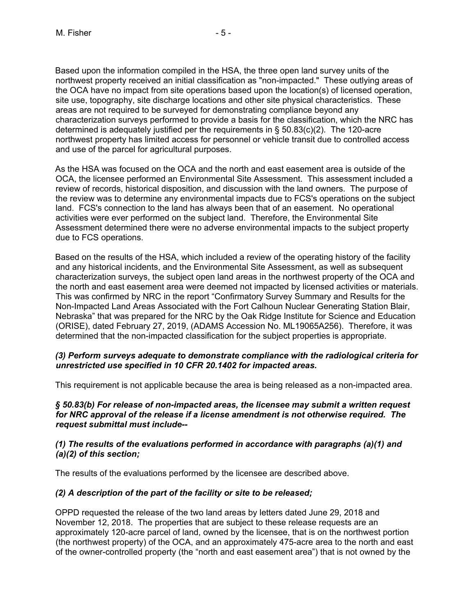Based upon the information compiled in the HSA, the three open land survey units of the northwest property received an initial classification as "non-impacted." These outlying areas of the OCA have no impact from site operations based upon the location(s) of licensed operation, site use, topography, site discharge locations and other site physical characteristics. These areas are not required to be surveyed for demonstrating compliance beyond any characterization surveys performed to provide a basis for the classification, which the NRC has determined is adequately justified per the requirements in  $\S$  50.83(c)(2). The 120-acre northwest property has limited access for personnel or vehicle transit due to controlled access and use of the parcel for agricultural purposes.

As the HSA was focused on the OCA and the north and east easement area is outside of the OCA, the licensee performed an Environmental Site Assessment. This assessment included a review of records, historical disposition, and discussion with the land owners. The purpose of the review was to determine any environmental impacts due to FCS's operations on the subject land. FCS's connection to the land has always been that of an easement. No operational activities were ever performed on the subject land. Therefore, the Environmental Site Assessment determined there were no adverse environmental impacts to the subject property due to FCS operations.

Based on the results of the HSA, which included a review of the operating history of the facility and any historical incidents, and the Environmental Site Assessment, as well as subsequent characterization surveys, the subject open land areas in the northwest property of the OCA and the north and east easement area were deemed not impacted by licensed activities or materials. This was confirmed by NRC in the report "Confirmatory Survey Summary and Results for the Non-Impacted Land Areas Associated with the Fort Calhoun Nuclear Generating Station Blair, Nebraska" that was prepared for the NRC by the Oak Ridge Institute for Science and Education (ORISE), dated February 27, 2019, (ADAMS Accession No. ML19065A256). Therefore, it was determined that the non-impacted classification for the subject properties is appropriate.

#### *(3) Perform surveys adequate to demonstrate compliance with the radiological criteria for unrestricted use specified in 10 CFR 20.1402 for impacted areas.*

This requirement is not applicable because the area is being released as a non-impacted area.

*§ 50.83(b) For release of non-impacted areas, the licensee may submit a written request for NRC approval of the release if a license amendment is not otherwise required. The request submittal must include--* 

#### *(1) The results of the evaluations performed in accordance with paragraphs (a)(1) and (a)(2) of this section;*

The results of the evaluations performed by the licensee are described above.

## *(2) A description of the part of the facility or site to be released;*

OPPD requested the release of the two land areas by letters dated June 29, 2018 and November 12, 2018. The properties that are subject to these release requests are an approximately 120-acre parcel of land, owned by the licensee, that is on the northwest portion (the northwest property) of the OCA, and an approximately 475-acre area to the north and east of the owner-controlled property (the "north and east easement area") that is not owned by the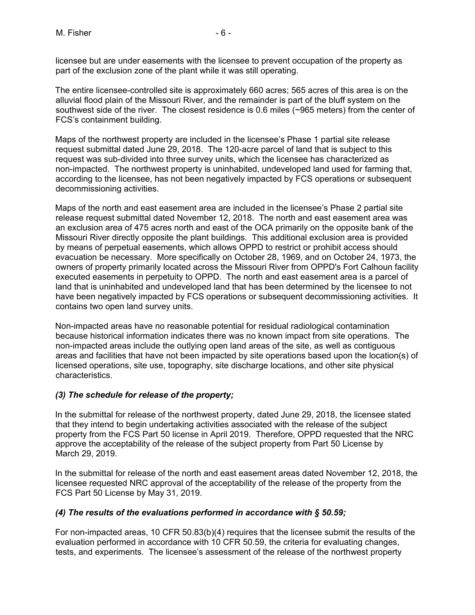licensee but are under easements with the licensee to prevent occupation of the property as part of the exclusion zone of the plant while it was still operating.

The entire licensee-controlled site is approximately 660 acres; 565 acres of this area is on the alluvial flood plain of the Missouri River, and the remainder is part of the bluff system on the southwest side of the river. The closest residence is 0.6 miles (~965 meters) from the center of FCS's containment building.

Maps of the northwest property are included in the licensee's Phase 1 partial site release request submittal dated June 29, 2018. The 120-acre parcel of land that is subject to this request was sub-divided into three survey units, which the licensee has characterized as non-impacted. The northwest property is uninhabited, undeveloped land used for farming that, according to the licensee, has not been negatively impacted by FCS operations or subsequent decommissioning activities.

Maps of the north and east easement area are included in the licensee's Phase 2 partial site release request submittal dated November 12, 2018. The north and east easement area was an exclusion area of 475 acres north and east of the OCA primarily on the opposite bank of the Missouri River directly opposite the plant buildings. This additional exclusion area is provided by means of perpetual easements, which allows OPPD to restrict or prohibit access should evacuation be necessary. More specifically on October 28, 1969, and on October 24, 1973, the owners of property primarily located across the Missouri River from OPPD's Fort Calhoun facility executed easements in perpetuity to OPPD. The north and east easement area is a parcel of land that is uninhabited and undeveloped land that has been determined by the licensee to not have been negatively impacted by FCS operations or subsequent decommissioning activities. It contains two open land survey units.

Non-impacted areas have no reasonable potential for residual radiological contamination because historical information indicates there was no known impact from site operations. The non-impacted areas include the outlying open land areas of the site, as well as contiguous areas and facilities that have not been impacted by site operations based upon the location(s) of licensed operations, site use, topography, site discharge locations, and other site physical characteristics.

## *(3) The schedule for release of the property;*

In the submittal for release of the northwest property, dated June 29, 2018, the licensee stated that they intend to begin undertaking activities associated with the release of the subject property from the FCS Part 50 license in April 2019. Therefore, OPPD requested that the NRC approve the acceptability of the release of the subject property from Part 50 License by March 29, 2019.

In the submittal for release of the north and east easement areas dated November 12, 2018, the licensee requested NRC approval of the acceptability of the release of the property from the FCS Part 50 License by May 31, 2019.

## *(4) The results of the evaluations performed in accordance with § 50.59;*

For non-impacted areas, 10 CFR 50.83(b)(4) requires that the licensee submit the results of the evaluation performed in accordance with 10 CFR 50.59, the criteria for evaluating changes, tests, and experiments. The licensee's assessment of the release of the northwest property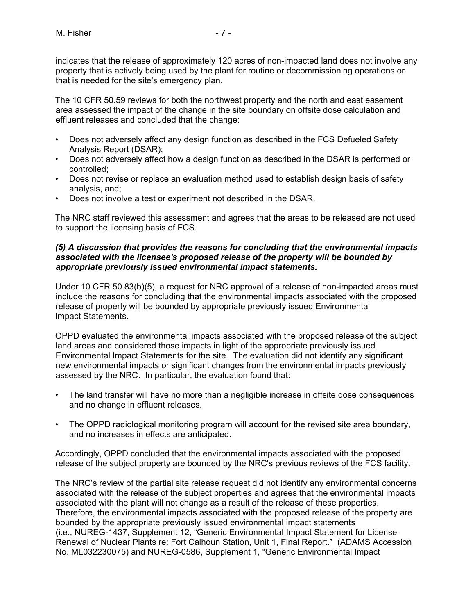indicates that the release of approximately 120 acres of non-impacted land does not involve any property that is actively being used by the plant for routine or decommissioning operations or that is needed for the site's emergency plan.

The 10 CFR 50.59 reviews for both the northwest property and the north and east easement area assessed the impact of the change in the site boundary on offsite dose calculation and effluent releases and concluded that the change:

- Does not adversely affect any design function as described in the FCS Defueled Safety Analysis Report (DSAR);
- Does not adversely affect how a design function as described in the DSAR is performed or controlled;
- Does not revise or replace an evaluation method used to establish design basis of safety analysis, and;
- Does not involve a test or experiment not described in the DSAR.

The NRC staff reviewed this assessment and agrees that the areas to be released are not used to support the licensing basis of FCS.

## *(5) A discussion that provides the reasons for concluding that the environmental impacts associated with the licensee's proposed release of the property will be bounded by appropriate previously issued environmental impact statements.*

Under 10 CFR 50.83(b)(5), a request for NRC approval of a release of non-impacted areas must include the reasons for concluding that the environmental impacts associated with the proposed release of property will be bounded by appropriate previously issued Environmental Impact Statements.

OPPD evaluated the environmental impacts associated with the proposed release of the subject land areas and considered those impacts in light of the appropriate previously issued Environmental Impact Statements for the site. The evaluation did not identify any significant new environmental impacts or significant changes from the environmental impacts previously assessed by the NRC. In particular, the evaluation found that:

- The land transfer will have no more than a negligible increase in offsite dose consequences and no change in effluent releases.
- The OPPD radiological monitoring program will account for the revised site area boundary, and no increases in effects are anticipated.

Accordingly, OPPD concluded that the environmental impacts associated with the proposed release of the subject property are bounded by the NRC's previous reviews of the FCS facility.

The NRC's review of the partial site release request did not identify any environmental concerns associated with the release of the subject properties and agrees that the environmental impacts associated with the plant will not change as a result of the release of these properties. Therefore, the environmental impacts associated with the proposed release of the property are bounded by the appropriate previously issued environmental impact statements (i.e., NUREG-1437, Supplement 12, "Generic Environmental Impact Statement for License Renewal of Nuclear Plants re: Fort Calhoun Station, Unit 1, Final Report." (ADAMS Accession No. ML032230075) and NUREG-0586, Supplement 1, "Generic Environmental Impact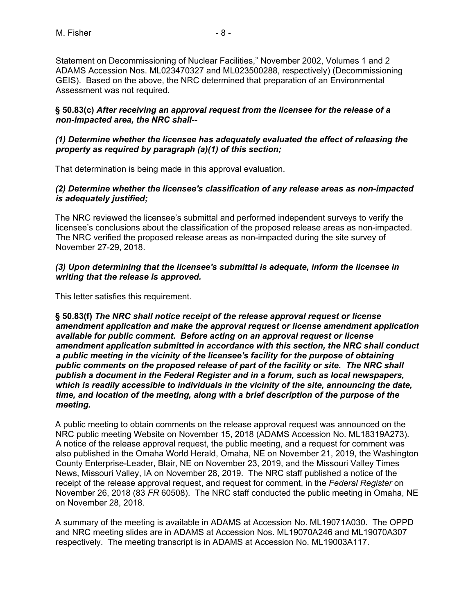Statement on Decommissioning of Nuclear Facilities," November 2002, Volumes 1 and 2 ADAMS Accession Nos. ML023470327 and ML023500288, respectively) (Decommissioning GEIS). Based on the above, the NRC determined that preparation of an Environmental Assessment was not required.

## **§ 50.83(c)** *After receiving an approval request from the licensee for the release of a non-impacted area, the NRC shall--*

## *(1) Determine whether the licensee has adequately evaluated the effect of releasing the property as required by paragraph (a)(1) of this section;*

That determination is being made in this approval evaluation.

## *(2) Determine whether the licensee's classification of any release areas as non-impacted is adequately justified;*

The NRC reviewed the licensee's submittal and performed independent surveys to verify the licensee's conclusions about the classification of the proposed release areas as non-impacted. The NRC verified the proposed release areas as non-impacted during the site survey of November 27-29, 2018.

# *(3) Upon determining that the licensee's submittal is adequate, inform the licensee in writing that the release is approved.*

This letter satisfies this requirement.

**§ 50.83(f)** *The NRC shall notice receipt of the release approval request or license amendment application and make the approval request or license amendment application available for public comment. Before acting on an approval request or license amendment application submitted in accordance with this section, the NRC shall conduct a public meeting in the vicinity of the licensee's facility for the purpose of obtaining public comments on the proposed release of part of the facility or site. The NRC shall publish a document in the Federal Register and in a forum, such as local newspapers, which is readily accessible to individuals in the vicinity of the site, announcing the date, time, and location of the meeting, along with a brief description of the purpose of the meeting.* 

A public meeting to obtain comments on the release approval request was announced on the NRC public meeting Website on November 15, 2018 (ADAMS Accession No. ML18319A273). A notice of the release approval request, the public meeting, and a request for comment was also published in the Omaha World Herald, Omaha, NE on November 21, 2019, the Washington County Enterprise-Leader, Blair, NE on November 23, 2019, and the Missouri Valley Times News, Missouri Valley, IA on November 28, 2019. The NRC staff published a notice of the receipt of the release approval request, and request for comment, in the *Federal Register* on November 26, 2018 (83 *FR* 60508). The NRC staff conducted the public meeting in Omaha, NE on November 28, 2018.

A summary of the meeting is available in ADAMS at Accession No. ML19071A030. The OPPD and NRC meeting slides are in ADAMS at Accession Nos. ML19070A246 and ML19070A307 respectively. The meeting transcript is in ADAMS at Accession No. ML19003A117.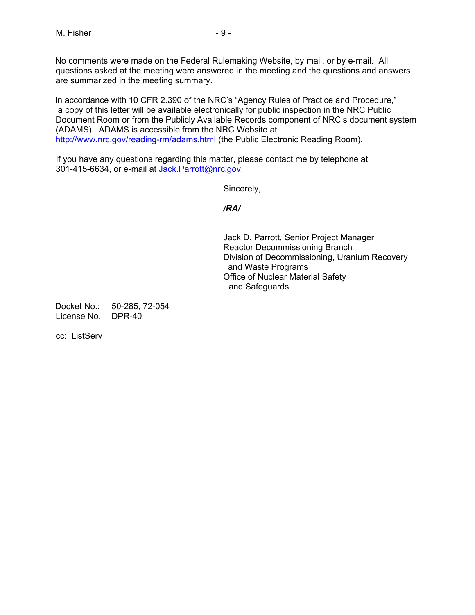No comments were made on the Federal Rulemaking Website, by mail, or by e-mail. All questions asked at the meeting were answered in the meeting and the questions and answers are summarized in the meeting summary.

In accordance with 10 CFR 2.390 of the NRC's "Agency Rules of Practice and Procedure," a copy of this letter will be available electronically for public inspection in the NRC Public Document Room or from the Publicly Available Records component of NRC's document system (ADAMS). ADAMS is accessible from the NRC Website at http://www.nrc.gov/reading-rm/adams.html (the Public Electronic Reading Room).

If you have any questions regarding this matter, please contact me by telephone at 301-415-6634, or e-mail at Jack.Parrott@nrc.gov.

Sincerely,

*/RA/* 

 Jack D. Parrott, Senior Project Manager Reactor Decommissioning Branch Division of Decommissioning, Uranium Recovery and Waste Programs Office of Nuclear Material Safety and Safeguards

Docket No.: 50-285, 72-054 License No. DPR-40

cc: ListServ